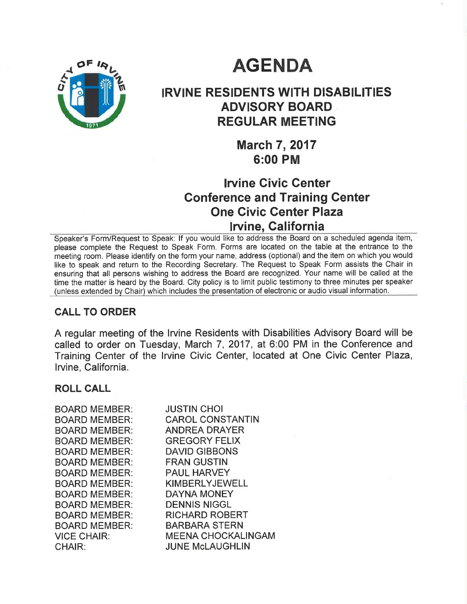# **AGENDA**



# IRVINE RESIDENTS WITH DISABILITIES ADVISORY BOARD REGULAR MEETING

March 7, 2017 6:00 PM

## lruine Civic Genter Gonference and Training Center One Givic Genter Plaza Iwine, Galifornia

Speaker's Form/Request to Speak: lf you would like to address the Board on a scheduled agenda item, please complete the Request to Speak Form. Forms are located on the table at the entrance to the meeting room. Please identify on the form your name, address (optional) and the item on which you would like to speak and return to the Recording Secretary. The Request to Speak Form assists the Chair in ensuring that all persons wishing to address the Board are recognized. Your name will be called at the time the matter is heard by the Board. City policy is to limit public testimony to three minutes per speaker (unless extended by Chair) which includes the presentation of electronic or audio visual information.

### CALL TO ORDER

A regular meeting of the Irvine Residents with Disabilities Advisory Board will be called to order on Tuesday, March 7, 2017, at 6:00 PM in the Conference and Training Center of the lrvine Civic Center, located at One Civic Center Plaza, lrvine, California.

#### ROLL GALL

| <b>BOARD MEMBER:</b> | <b>JUSTIN CHOI</b>        |
|----------------------|---------------------------|
| <b>BOARD MEMBER:</b> | <b>CAROL CONSTANTIN</b>   |
| <b>BOARD MEMBER:</b> | <b>ANDREA DRAYER</b>      |
| <b>BOARD MEMBER:</b> | <b>GREGORY FELIX</b>      |
| <b>BOARD MEMBER:</b> | <b>DAVID GIBBONS</b>      |
| <b>BOARD MEMBER:</b> | <b>FRAN GUSTIN</b>        |
| <b>BOARD MEMBER:</b> | <b>PAUL HARVEY</b>        |
| <b>BOARD MEMBER:</b> | <b>KIMBERLYJEWELL</b>     |
| <b>BOARD MEMBER:</b> | <b>DAYNA MONEY</b>        |
| <b>BOARD MEMBER:</b> | <b>DENNIS NIGGL</b>       |
| <b>BOARD MEMBER:</b> | <b>RICHARD ROBERT</b>     |
| <b>BOARD MEMBER:</b> | <b>BARBARA STERN</b>      |
| <b>VICE CHAIR:</b>   | <b>MEENA CHOCKALINGAM</b> |
| <b>CHAIR:</b>        | <b>JUNE McLAUGHLIN</b>    |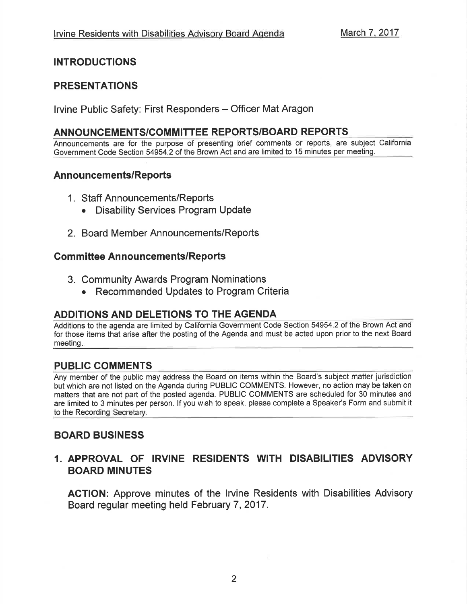### INTRODUCTIONS

### PRESENTATIONS

Irvine Public Safety: First Responders - Officer Mat Aragon

### ANNOUNCEMENTS/COMMITTEE REPORTS/BOARD REPORTS

Announcements are for the purpose of presenting brief comments or reports, are subject California Government Code Section 54954.2 of the Brown Act and are limited to 15 minutes per meeting.

### Announcements/Reports

- <sup>1</sup>. Staff Announcements/Reports
	- Disability Services Program Update
- 2. Board Member Announcements/Reports

#### **Committee Announcements/Reports**

- 3. Community Awards Program Nominations
	- Recommended Updates to Program Criteria

### ADDITIONS AND DELETIONS TO THE AGENDA

Additions to the agenda are limited by California Government Code Section 54954.2 of the Brown Act and for those items that arise after the posting of the Agenda and must be acted upon prior to the next Board meeting

### PUBLIC COMMENTS

Any member of the public may address the Board on items within the Board's subject matter jurisdiction but which are not listed on the Agenda during PUBLIC COMMENTS. However, no action may be taken on matters that are not part of the posted agenda. PUBLIC COMMENTS are scheduled for 30 minutes and are limited to 3 minutes per person. lf you wish to speak, please complete a Speaker's Form and submit it to the Recording Secretary.

### BOARD BUSINESS

### 1. APPROVAL OF IRVINE RESIDENTS WITH DISABILITIES ADVISORY BOARD MINUTES

AGTION: Approve minutes of the lrvine Residents with Disabilities Advisory Board regular meeting held February 7, 2017.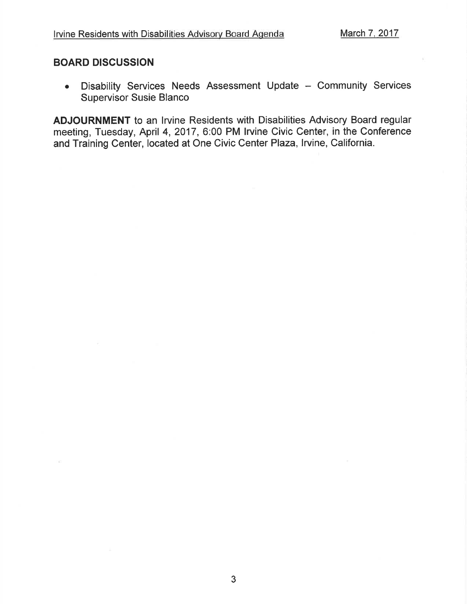#### BOARD DISGUSSION

Disability Services Needs Assessment Update - Community Services Supervisor Susie Blanco o

ADJOURNMENT to an lrvine Residents with Disabilities Advisory Board regular meeting, Tuesday, April 4, 2017, 6:00 PM Irvine Civic Center, in the Conference and Training Center, located at One Civic Center Plaza, Irvine, California.